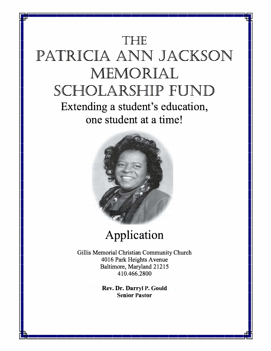# THE PATRICIA ANN JACKSON MEMORIAL SCHOLARSHIP FUND

Extending a student's education, one student at a time!



Application

Gillis Memorial Christian Community Church 4016 Park Heights Avenue Baltimore, Maryland 21215 410.466.2800

> **Rev. Dr. Darryl P. Gould Senior Pastor**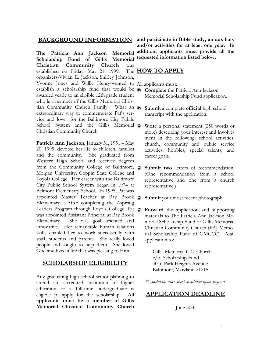## **BACKGROUND INFORMATION**

The Patricia Ann Jackson Memorial **Scholarship Fund of Gillis Memorial Christian Community Church** was **Christian Community Church** was established on Friday, May 21, 1999. organizers-Vivian E. Jackson, Shirley Johnson, Yvonne Jones and Willie Henry-wanted to establish a scholarship fund that would be  $\geqslant$  **Complete** the Patricia Ann Jackson awarded yearly to an eligible 12th grade student<br>who is a member of the Gillis Memorial Chriswho is a member of the Gillis Memorial Christian Community Church Family. What an extraordinary way to commemorate Pat's service and love for the Baltimore City Public vice and love for the Baltimore City Public<br>School System and the Gillis Memorial established on Friday, May 21, 1999. The organizers-Vivian E. Jackson, Shirley Johnson, Yvonne Jones and Willie Henry-wanted to establish a scholarship fund that would be tian Community Church Family. What an **Submit** a complete **official** high school Christian Community Church.

Patricia Ann Jackson, January 31, 1951 - May Patricia Ann Jackson, January 31, 1951 – May 20, 1999, devoted her life to children, families and the community. She graduated from and the community. She graduated from Western High School and received degrees from the Community College of Baltimore, Morgan University, Coppin State College and Morgan University, Coppin State College and<br>Loyola College. Her career with the Baltimore City Public School System began in 1974 at City Public School System began in 1974 at Belmont Elementary School. In 1995, Pat was appointed Master Teacher at Bay Brook<br>Elementary. After completing the Aspiring Elementary. After completing the Aspiring Leaders Program through Loyola College, Pat  $\epsilon$ Leaders Program through Loyola College, Pat<br>was appointed Assistant Principal at Bay Brook Elementary. She was goal oriented and innovative. Her remarkable human relations skills enabled her to work successfully with staff, students and parents. She really loved people and sought to help them. She loved Elementary. She was goal oriented and innovative. Her remarkable human relations skills enabled her to work successfully with staff, students and parents. She really loved people and sought to help them. She loved God and lived a life that was pleasing to Him.

## **SCHOLARSHIP ELIGIBILITY**

Any graduating high school senior planning to attend an accredited institution of higher education or a full-time undergraduate is eligible to apply for the scholarship. **All** attend an accredited institution of higher education or a full-time undergraduate is eligible to apply for the scholarship. **All applicants must be a member of Gillis Memorial Christian Community Church** 

and participate in Bible study, an auxiliary and participate in Bible study, an auxiliary and/or activities for at least one year. In  $requested information listed below.$ **addition, applicants must provide all the** 

# **HOW TO APPLY**

applicants must: All applicants must:

- Memorial Scholarship Fund application.
- transcript with the application.
- **Write** a personal statement  $(250 \text{ words or})$ **Write** a personal statement (250 words or more) describing your interest and involvement in the following: school activities, ment in the following: school activities, church, community and public service career goals. activities, hobbies, special talents, and
- **E** Submit two letters of recommendation. (One recommendation from a school representative.) representative and one from a church
- **Formarish** Submit your most recent photograph.
- Forward the application and supporting materials to The Patricia Ann Jackson Memorial Scholarship Fund of Gillis Memorial Christian Community Church (PAJ Memoapplication to: **Forward** the application and supporting materials to The Patricia Ann Jackson Memorial Scholarship Fund of Gillis Memorial Christian Community Church (PAJ Memorial Scholarship Fund of GMCCC). Mail

Gillis Memorial C.C. Church c/o Scholarship Fund *\*Candidate score sheet available upon request.* Baltimore, Maryland 21215 4016 Park Heights Avenue

**APPLICATION DEADLINE** *\*Candidate score sheet available upon request.*

# <u>APPLICATION DEADLINE</u>

June 30th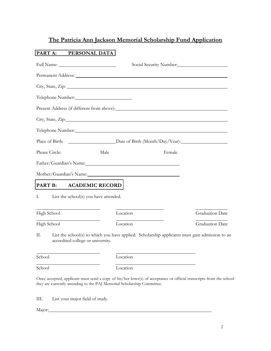## **The Patricia Ann Jackson Memorial Scholarship Fund Application**

## **PART A: PERSONAL DATA**

|                                                                                                                 |                                                                                                                                                                                                                                | Social Security Number: 1997 |  |
|-----------------------------------------------------------------------------------------------------------------|--------------------------------------------------------------------------------------------------------------------------------------------------------------------------------------------------------------------------------|------------------------------|--|
|                                                                                                                 | Permanent Address: University of the Community of the Community of the Community of the Community of the Community of the Community of the Community of the Community of the Community of the Community of the Community of th |                              |  |
|                                                                                                                 |                                                                                                                                                                                                                                |                              |  |
| Telephone Number:                                                                                               |                                                                                                                                                                                                                                |                              |  |
|                                                                                                                 |                                                                                                                                                                                                                                |                              |  |
|                                                                                                                 | City, State, Zip: 2008. Experience of the State of Table 3.                                                                                                                                                                    |                              |  |
|                                                                                                                 | Telephone Number: New York and Separate and Separate and Separate and Separate and Separate and Separate and Separate and Separate and Separate and Separate and Separate and Separate and Separate and Separate and Separate  |                              |  |
|                                                                                                                 |                                                                                                                                                                                                                                |                              |  |
| Please Circle:<br>Male                                                                                          | Female                                                                                                                                                                                                                         |                              |  |
| Father/Guardian's Name: Mannelland Mannelland Mannelland Mannelland Mannelland Mannelland Mannelland Mannelland |                                                                                                                                                                                                                                |                              |  |
|                                                                                                                 |                                                                                                                                                                                                                                |                              |  |
| PART B: ACADEMIC RECORD                                                                                         |                                                                                                                                                                                                                                |                              |  |
| List the school(s) you have attended.<br>I.                                                                     |                                                                                                                                                                                                                                |                              |  |
| High School                                                                                                     | Location                                                                                                                                                                                                                       | <b>Graduation Date</b>       |  |
| High School                                                                                                     | Location                                                                                                                                                                                                                       | <b>Graduation Date</b>       |  |
| H.<br>accredited college or university.                                                                         | List the school(s) to which you have applied. Scholarship applicants must gain admission to an                                                                                                                                 |                              |  |
| School                                                                                                          | Location                                                                                                                                                                                                                       |                              |  |

School Location

Once accepted, applicant must send a copy of his/her letter(s) of acceptance or official transcripts from the school they are currently attending to the PAJ Memorial Scholarship Committee.

III. List your major field of study.

Major: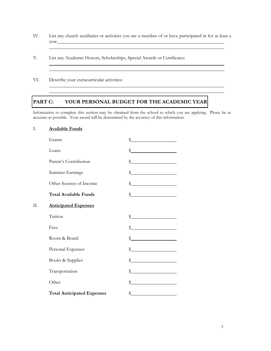- IV. List any church auxiliaries or activities you are a member of or have participated in for at least a year.
- V. List any Academic Honors, Scholarships, Special Awards or Certificates:
- VI. Describe your extracurricular activities:

## **PART C: YOUR PERSONAL BUDGET FOR THE ACADEMIC YEAR**

Information to complete this section may be obtained from the school to which you are applying. Please be as accurate as possible. Your award will be determined by the accuracy of this information.

#### I. **Available Funds**

|    | Grants                            | \$                                                                                                                                                                                                                                                                                                                  |
|----|-----------------------------------|---------------------------------------------------------------------------------------------------------------------------------------------------------------------------------------------------------------------------------------------------------------------------------------------------------------------|
|    | Loans                             | $\mathbb{S}$                                                                                                                                                                                                                                                                                                        |
|    | Parent's Contribution             | \$<br><u> 1990 - Johann Barbara, martin a</u>                                                                                                                                                                                                                                                                       |
|    | Summer Earnings                   |                                                                                                                                                                                                                                                                                                                     |
|    | Other Sources of Income           | $\frac{1}{2}$                                                                                                                                                                                                                                                                                                       |
|    | <b>Total Available Funds</b>      | $\frac{1}{2}$                                                                                                                                                                                                                                                                                                       |
| Η. | <b>Anticipated Expenses</b>       |                                                                                                                                                                                                                                                                                                                     |
|    | Tuition                           | $\frac{1}{2}$                                                                                                                                                                                                                                                                                                       |
|    | Fees                              | $\begin{array}{c c c c c} \hline \textbf{\$} & \textbf{\$} & \textbf{\$} & \textbf{\$} \\ \hline \end{array}$                                                                                                                                                                                                       |
|    | Room & Board                      | $\mathbb{S}$                                                                                                                                                                                                                                                                                                        |
|    | Personal Expenses                 | $\sim$                                                                                                                                                                                                                                                                                                              |
|    | Books & Supplies                  | $\frac{1}{2}$ $\frac{1}{2}$ $\frac{1}{2}$ $\frac{1}{2}$ $\frac{1}{2}$ $\frac{1}{2}$ $\frac{1}{2}$ $\frac{1}{2}$ $\frac{1}{2}$ $\frac{1}{2}$ $\frac{1}{2}$ $\frac{1}{2}$ $\frac{1}{2}$ $\frac{1}{2}$ $\frac{1}{2}$ $\frac{1}{2}$ $\frac{1}{2}$ $\frac{1}{2}$ $\frac{1}{2}$ $\frac{1}{2}$ $\frac{1}{2}$ $\frac{1}{2}$ |
|    | Transportation                    | $\mathbb{S}$                                                                                                                                                                                                                                                                                                        |
|    | Other                             |                                                                                                                                                                                                                                                                                                                     |
|    | <b>Total Anticipated Expenses</b> | \$<br><u> 1999 - Jan Jawa Barat, pamangan sa Barat, pamangan sa Barat, pamangan sa Barat, pamangan sa Barat, pamangan</u>                                                                                                                                                                                           |
|    |                                   |                                                                                                                                                                                                                                                                                                                     |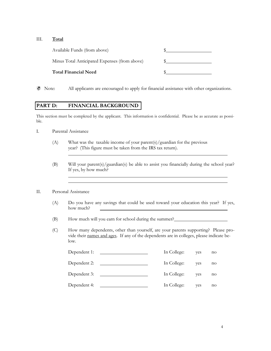#### III. **Total**

| Minus Total Anticipated Expenses (from above) |  |
|-----------------------------------------------|--|
| Total Financial Need                          |  |

Note: All applicants are encouraged to apply for financial assistance with other organizations.

## **PART D: FINANCIAL BACKGROUND**

This section must be completed by the applicant. This information is confidential. Please be as accurate as possible.

- I. Parental Assistance
	- (A) What was the taxable income of your parent(s)/guardian for the previous year? (This figure must be taken from the IRS tax return).
	- (B) Will your parent(s)/guardian(s) be able to assist you financially during the school year? If yes, by how much?

#### II. Personal Assistance

- (A) Do you have any savings that could be used toward your education this year? If yes, how much?
- (B) How much will you earn for school during the summer?
- (C) How many dependents, other than yourself, are your parents supporting? Please provide their names and ages. If any of the dependents are in colleges, please indicate below.

| Dependent 1: | In College: | ves | no |
|--------------|-------------|-----|----|
| Dependent 2: | In College: | ves | no |
| Dependent 3: | In College: | ves | no |
| Dependent 4: | In College: | ves | no |